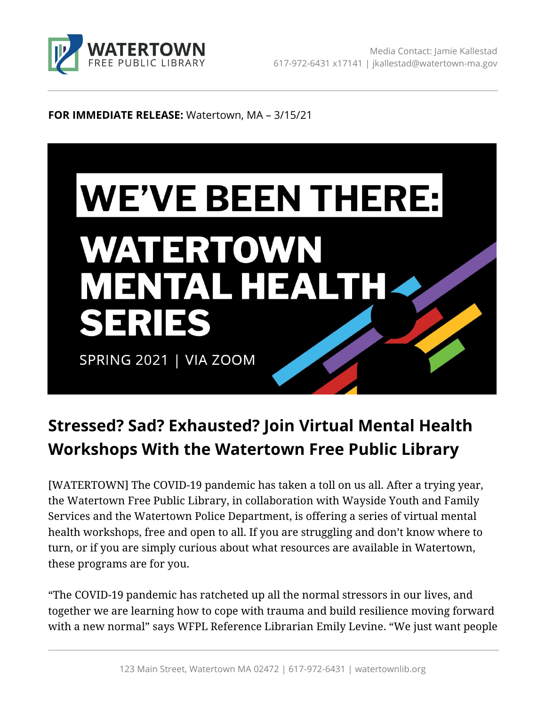

#### **FOR IMMEDIATE RELEASE:** Watertown, MA – 3/15/21



# **Stressed? Sad? Exhausted? Join Virtual Mental Health Workshops With the Watertown Free Public Library**

[WATERTOWN] The COVID-19 pandemic has taken a toll on us all. After a trying year, the Watertown Free Public Library, in collaboration with Wayside Youth and Family Services and the Watertown Police Department, is offering a series of virtual mental health workshops, free and open to all. If you are struggling and don't know where to turn, or if you are simply curious about what resources are available in Watertown, these programs are for you.

"The COVID-19 pandemic has ratcheted up all the normal stressors in our lives, and together we are learning how to cope with trauma and build resilience moving forward with a new normal" says WFPL Reference Librarian Emily Levine. "We just want people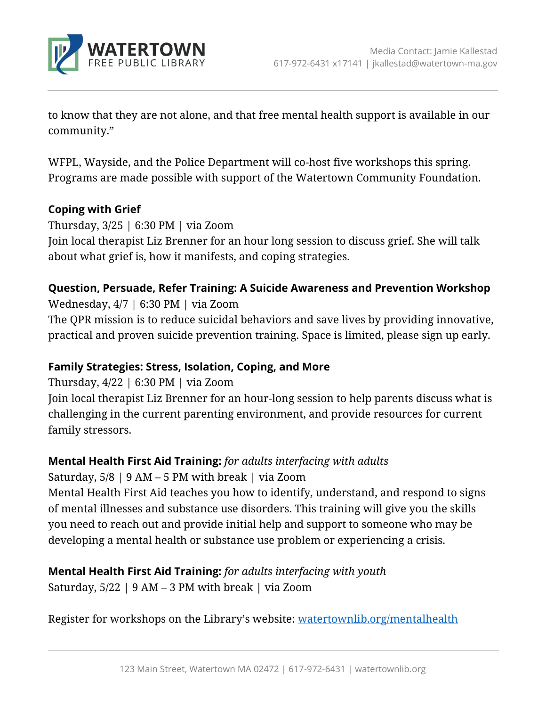

to know that they are not alone, and that free mental health support is available in our community."

WFPL, Wayside, and the Police Department will co-host five workshops this spring. Programs are made possible with support of the Watertown Community Foundation.

### **Coping with Grief**

Thursday, 3/25 | 6:30 PM | via Zoom Join local therapist Liz Brenner for an hour long session to discuss grief. She will talk about what grief is, how it manifests, and coping strategies.

## **Question, Persuade, Refer Training: A Suicide Awareness and Prevention Workshop**

Wednesday, 4/7 | 6:30 PM | via Zoom

The QPR mission is to reduce suicidal behaviors and save lives by providing innovative, practical and proven suicide prevention training. Space is limited, please sign up early.

### **Family Strategies: Stress, Isolation, Coping, and More**

Thursday, 4/22 | 6:30 PM | via Zoom

Join local therapist Liz Brenner for an hour-long session to help parents discuss what is challenging in the current parenting environment, and provide resources for current family stressors.

### **Mental Health First Aid Training:** *for adults interfacing with adults*

Saturday,  $5/8$  | 9 AM – 5 PM with break | via Zoom

Mental Health First Aid teaches you how to identify, understand, and respond to signs of mental illnesses and substance use disorders. This training will give you the skills you need to reach out and provide initial help and support to someone who may be developing a mental health or substance use problem or experiencing a crisis.

# **Mental Health First Aid Training:** *for adults interfacing with youth*

Saturday,  $5/22$  | 9 AM – 3 PM with break | via Zoom

Register for workshops on the Library's website: [watertownlib.org/mentalhealth](https://www.watertownlib.org/mentalhealth)